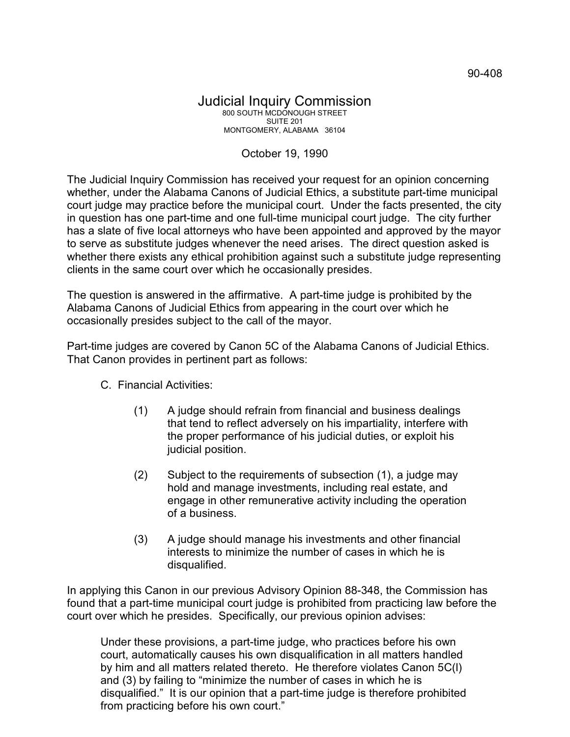## Judicial Inquiry Commission 800 SOUTH MCDONOUGH STREET SUITE 201 MONTGOMERY, ALABAMA 36104

## October 19, 1990

The Judicial Inquiry Commission has received your request for an opinion concerning whether, under the Alabama Canons of Judicial Ethics, a substitute part-time municipal court judge may practice before the municipal court. Under the facts presented, the city in question has one part-time and one full-time municipal court judge. The city further has a slate of five local attorneys who have been appointed and approved by the mayor to serve as substitute judges whenever the need arises. The direct question asked is whether there exists any ethical prohibition against such a substitute judge representing clients in the same court over which he occasionally presides.

The question is answered in the affirmative. A part-time judge is prohibited by the Alabama Canons of Judicial Ethics from appearing in the court over which he occasionally presides subject to the call of the mayor.

Part-time judges are covered by Canon 5C of the Alabama Canons of Judicial Ethics. That Canon provides in pertinent part as follows:

- C. Financial Activities:
	- (1) A judge should refrain from financial and business dealings that tend to reflect adversely on his impartiality, interfere with the proper performance of his judicial duties, or exploit his judicial position.
	- (2) Subject to the requirements of subsection (1), a judge may hold and manage investments, including real estate, and engage in other remunerative activity including the operation of a business.
	- (3) A judge should manage his investments and other financial interests to minimize the number of cases in which he is disqualified.

In applying this Canon in our previous Advisory Opinion 88-348, the Commission has found that a part-time municipal court judge is prohibited from practicing law before the court over which he presides. Specifically, our previous opinion advises:

Under these provisions, a part-time judge, who practices before his own court, automatically causes his own disqualification in all matters handled by him and all matters related thereto. He therefore violates Canon 5C(l) and (3) by failing to "minimize the number of cases in which he is disqualified." It is our opinion that a part-time judge is therefore prohibited from practicing before his own court."